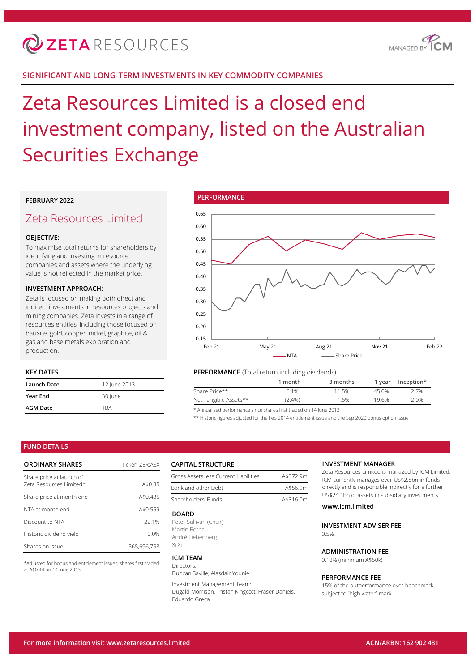

## **SIGNIFICANT AND LONG-TERM INVESTMENTS IN KEY COMMODITY COMPANIES**

# Zeta Resources Limited is a closed end investment company, listed on the Australian Securities Exchange

## **FEBRUARY 2022**

## Zeta Resources Limited

## **OBJECTIVE:**

To maximise total returns for shareholders by identifying and investing in resource companies and assets where the underlying value is not reflected in the market price.

#### **INVESTMENT APPROACH:**

Zeta is focused on making both direct and indirect investments in resources projects and mining companies. Zeta invests in a range of resources entities, including those focused on bauxite, gold, copper, nickel, graphite, oil & gas and base metals exploration and production.

## **KEY DATES**

| Launch Date     | 12 June 2013 |
|-----------------|--------------|
| <b>Year End</b> | 30 June      |
| <b>AGM Date</b> | <b>TRA</b>   |



#### **PERFORMANCE** (Total return including dividends)

|                       | 1 month   | 3 months | 1 vear | Inception* |
|-----------------------|-----------|----------|--------|------------|
| Share Price**         | 6.1%      | 11.5%    | 45.0%  | 2.7%       |
| Net Tangible Assets** | $(2.4\%)$ | 1.5%     | 19.6%  | 2.0%       |
|                       |           |          |        |            |

\* Annualised performance since shares first traded on 14 June 2013

\*\* Historic figures adjusted for the Feb 2014 entitlement issue and the Sep 2020 bonus option issue

#### **FUND DETAILS**

| <b>ORDINARY SHARES</b>                              | Ticker: 7FR:ASX |
|-----------------------------------------------------|-----------------|
| Share price at launch of<br>Zeta Resources Limited* | A\$0.35         |
| Share price at month end                            | A\$0.435        |
| NTA at month end                                    | A\$0.559        |
| Discount to NTA                                     | 221%            |
| Historic dividend yield                             | 0.0%            |
| Shares on issue                                     | 565.696.758     |

\*Adjusted for bonus and entitlement issues; shares first traded at A\$0.44 on 14 June 2013

#### **CAPITAL STRUCTURE**

| Gross Assets less Current Liabilities | A\$372.9m |  |  |
|---------------------------------------|-----------|--|--|
| Bank and other Debt                   | A\$56.9m  |  |  |
| Shareholders' Funds                   | A\$316.0m |  |  |

#### **BOARD**

Peter Sullivan (Chair) Martin Botha André Liebenberg Xi Xi

#### **ICM TEAM**

Directors: Duncan Saville, Alasdair Younie

Investment Management Team:

Dugald Morrison, Tristan Kingcott, Fraser Daniels, Eduardo Greca

#### **INVESTMENT MANAGER**

Zeta Resources Limited is managed by ICM Limited. ICM currently manages over US\$2.8bn in funds directly and is responsible indirectly for a further US\$24.1bn of assets in subsidiary investments.

## **www.icm.limited**

**INVESTMENT ADVISER FEE**  $0.5%$ 

## **ADMINISTRATION FEE**

0.12% (minimum A\$50k)

#### **PERFORMANCE FEE**

15% of the outperformance over benchmark subject to "high water" mark